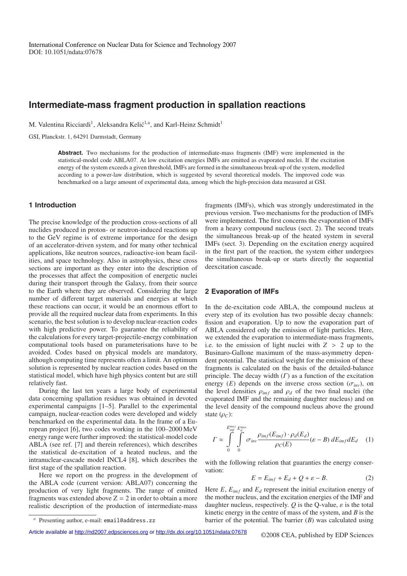# **Intermediate-mass fragment production in spallation reactions**

M. Valentina Ricciardi<sup>1</sup>, Aleksandra Kelić<sup>1,a</sup>, and Karl-Heinz Schmidt<sup>1</sup>

GSI, Planckstr. 1, 64291 Darmstadt, Germany

**Abstract.** Two mechanisms for the production of intermediate-mass fragments (IMF) were implemented in the statistical-model code ABLA07. At low excitation energies IMFs are emitted as evaporated nuclei. If the excitation energy of the system exceeds a given threshold, IMFs are formed in the simultaneous break-up of the system, modelled according to a power-law distribution, which is suggested by several theoretical models. The improved code was benchmarked on a large amount of experimental data, among which the high-precision data measured at GSI.

## **1 Introduction**

The precise knowledge of the production cross-sections of all nuclides produced in proton- or neutron-induced reactions up to the GeV regime is of extreme importance for the design of an accelerator-driven system, and for many other technical applications, like neutron sources, radioactive-ion beam facilities, and space technology. Also in astrophysics, these cross sections are important as they enter into the description of the processes that affect the composition of energetic nuclei during their transport through the Galaxy, from their source to the Earth where they are observed. Considering the large number of different target materials and energies at which these reactions can occur, it would be an enormous effort to provide all the required nuclear data from experiments. In this scenario, the best solution is to develop nuclear-reaction codes with high predictive power. To guarantee the reliability of the calculations for every target-projectile-energy combination computational tools based on parameterisations have to be avoided. Codes based on physical models are mandatory, although computing time represents often a limit. An optimum solution is represented by nuclear reaction codes based on the statistical model, which have high physics content but are still relatively fast.

During the last ten years a large body of experimental data concerning spallation residues was obtained in devoted experimental campaigns [1–5]. Parallel to the experimental campaign, nuclear-reaction codes were developed and widely benchmarked on the experimental data. In the frame of a European project [6], two codes working in the 100–2000 MeV energy range were further improved: the statistical-model code ABLA (see ref. [7] and therein references), which describes the statistical de-excitation of a heated nucleus, and the intranuclear-cascade model INCL4 [8], which describes the first stage of the spallation reaction.

Here we report on the progress in the development of the ABLA code (current version: ABLA07) concerning the production of very light fragments. The range of emitted fragments was extended above  $Z = 2$  in order to obtain a more realistic description of the production of intermediate-mass fragments (IMFs), which was strongly underestimated in the previous version. Two mechanisms for the production of IMFs were implemented. The first concerns the evaporation of IMFs from a heavy compound nucleus (sect. 2). The second treats the simultaneous break-up of the heated system in several IMFs (sect. 3). Depending on the excitation energy acquired in the first part of the reaction, the system either undergoes the simultaneous break-up or starts directly the sequential deexcitation cascade.

#### **2 Evaporation of IMFs**

In the de-excitation code ABLA, the compound nucleus at every step of its evolution has two possible decay channels: fission and evaporation. Up to now the evaporation part of ABLA considered only the emission of light particles. Here, we extended the evaporation to intermediate-mass fragments, i.e. to the emission of light nuclei with  $Z > 2$  up to the Businaro-Gallone maximum of the mass-asymmetry dependent potential. The statistical weight for the emission of these fragments is calculated on the basis of the detailed-balance principle. The decay width  $(\Gamma)$  as a function of the excitation energy (*E*) depends on the inverse cross section ( $\sigma_{inv}$ ), on the level densities  $\rho_{imf}$  and  $\rho_d$  of the two final nuclei (the evaporated IMF and the remaining daughter nucleus) and on the level density of the compound nucleus above the ground state  $(\rho_C)$ :

$$
\Gamma \approx \int_{0}^{E_{\text{imf}}^{\text{max}} E_{\text{d}}^{\text{max}}} \frac{\rho_{\text{imf}}(E_{\text{imf}}) \cdot \rho_d(E_d)}{\rho_C(E)} (\varepsilon - B) dE_{\text{imf}} dE_d \quad (1)
$$

with the following relation that guaranties the energy conservation:

$$
E = E_{imf} + E_d + Q + \varepsilon - B.
$$
 (2)

Here  $E$ ,  $E_{inf}$  and  $E_d$  represent the initial excitation energy of the mother nucleus, and the excitation energies of the IMF and daughter nucleus, respectively.  $Q$  is the Q-value,  $\varepsilon$  is the total kinetic energy in the centre of mass of the system, and *B* is the barrier of the potential. The barrier (*B*) was calculated using

Presenting author, e-mail: email@address.zz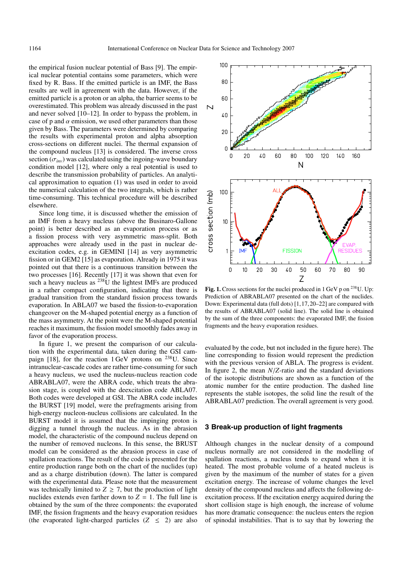the empirical fusion nuclear potential of Bass [9]. The empirical nuclear potential contains some parameters, which were fixed by R. Bass. If the emitted particle is an IMF, the Bass results are well in agreement with the data. However, if the emitted particle is a proton or an alpha, the barrier seems to be overestimated. This problem was already discussed in the past and never solved [10–12]. In order to bypass the problem, in case of p and  $\alpha$  emission, we used other parameters than those given by Bass. The parameters were determined by comparing the results with experimental proton and alpha absorption cross-sections on different nuclei. The thermal expansion of the compound nucleus [13] is considered. The inverse cross section  $(\sigma_{inv})$  was calculated using the ingoing-wave boundary condition model [12], where only a real potential is used to describe the transmission probability of particles. An analytical approximation to equation (1) was used in order to avoid the numerical calculation of the two integrals, which is rather time-consuming. This technical procedure will be described elsewhere.

Since long time, it is discussed whether the emission of an IMF from a heavy nucleus (above the Businaro-Gallone point) is better described as an evaporation process or as a fission process with very asymmetric mass-split. Both approaches were already used in the past in nuclear deexcitation codes, e.g. in GEMINI [14] as very asymmetric fission or in GEM2 [15] as evaporation. Already in 1975 it was pointed out that there is a continuous transition between the two processes [16]. Recently [17] it was shown that even for such a heavy nucleus as <sup>238</sup>U the lightest IMFs are produced in a rather compact configuration, indicating that there is gradual transition from the standard fission process towards evaporation. In ABLA07 we based the fission-to-evaporation changeover on the M-shaped potential energy as a function of the mass asymmetry. At the point were the M-shaped potential reaches it maximum, the fission model smoothly fades away in favor of the evaporation process.

In figure 1, we present the comparison of our calculation with the experimental data, taken during the GSI campaign [18], for the reaction 1 GeV protons on 238U. Since intranuclear-cascade codes are rather time-consuming for such a heavy nucleus, we used the nucleus-nucleus reaction code ABRABLA07, were the ABRA code, which treats the abrasion stage, is coupled with the deexcitation code ABLA07. Both codes were developed at GSI. The ABRA code includes the BURST [19] model, were the prefragments arising from high-energy nucleon-nucleus collisions are calculated. In the BURST model it is assumed that the impinging proton is digging a tunnel through the nucleus. As in the abrasion model, the characteristic of the compound nucleus depend on the number of removed nucleons. In this sense, the BRUST model can be considered as the abrasion process in case of spallation reactions. The result of the code is presented for the entire production range both on the chart of the nuclides (up) and as a charge distribution (down). The latter is compared with the experimental data. Please note that the measurement was technically limited to  $Z \ge 7$ , but the production of light nuclides extends even farther down to  $Z = 1$ . The full line is obtained by the sum of the three components: the evaporated IMF, the fission fragments and the heavy evaporation residues (the evaporated light-charged particles  $(Z \le 2)$  are also



Fig. 1. Cross sections for the nuclei produced in 1 GeV p on <sup>238</sup>U. Up: Prediction of ABRABLA07 presented on the chart of the nuclides. Down: Experimental data (full dots) [1,17,20–22] are compared with the results of ABRABLA07 (solid line). The solid line is obtained by the sum of the three components: the evaporated IMF, the fission fragments and the heavy evaporation residues.

evaluated by the code, but not included in the figure here). The line corresponding to fission would represent the prediction with the previous version of ABLA. The progress is evident. In figure 2, the mean *N*/*Z*-ratio and the standard deviations of the isotopic distributions are shown as a function of the atomic number for the entire production. The dashed line represents the stable isotopes, the solid line the result of the ABRABLA07 prediction. The overall agreement is very good.

### **3 Break-up production of light fragments**

Although changes in the nuclear density of a compound nucleus normally are not considered in the modelling of spallation reactions, a nucleus tends to expand when it is heated. The most probable volume of a heated nucleus is given by the maximum of the number of states for a given excitation energy. The increase of volume changes the level density of the compound nucleus and affects the following deexcitation process. If the excitation energy acquired during the short collision stage is high enough, the increase of volume has more dramatic consequence: the nucleus enters the region of spinodal instabilities. That is to say that by lowering the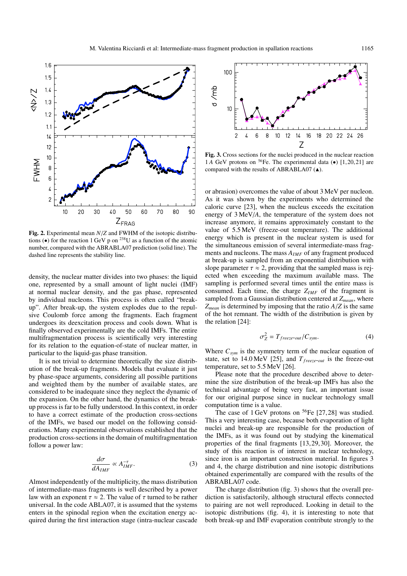

**Fig. 2.** Experimental mean *N*/*Z* and FWHM of the isotopic distributions ( $\bullet$ ) for the reaction 1 GeV p on <sup>238</sup>U as a function of the atomic number, compared with the ABRABLA07 prediction (solid line). The dashed line represents the stability line.

density, the nuclear matter divides into two phases: the liquid one, represented by a small amount of light nuclei (IMF) at normal nuclear density, and the gas phase, represented by individual nucleons. This process is often called "breakup". After break-up, the system explodes due to the repulsive Coulomb force among the fragments. Each fragment undergoes its deexcitation process and cools down. What is finally observed experimentally are the cold IMFs. The entire multifragmentation process is scientifically very interesting for its relation to the equation-of-state of nuclear matter, in particular to the liquid-gas phase transition.

It is not trivial to determine theoretically the size distribution of the break-up fragments. Models that evaluate it just by phase-space arguments, considering all possible partitions and weighted them by the number of available states, are considered to be inadequate since they neglect the dynamic of the expansion. On the other hand, the dynamics of the breakup process is far to be fully understood. In this context, in order to have a correct estimate of the production cross-sections of the IMFs, we based our model on the following considerations. Many experimental observations established that the production cross-sections in the domain of multifragmentation follow a power law:

$$
\frac{d\sigma}{dA_{IMF}} \propto A_{IMF}^{-\tau}.
$$
 (3)

Almost independently of the multiplicity, the mass distribution of intermediate-mass fragments is well described by a power law with an exponent  $\tau \approx 2$ . The value of  $\tau$  turned to be rather universal. In the code ABLA07, it is assumed that the systems enters in the spinodal region when the excitation energy acquired during the first interaction stage (intra-nuclear cascade



**Fig. 3.** Cross sections for the nuclei produced in the nuclear reaction 1.4 GeV protons on  $^{56}$ Fe. The experimental data  $\left( \bullet \right)$  [1,20,21] are compared with the results of ABRABLA07  $(A)$ .

or abrasion) overcomes the value of about 3 MeV per nucleon. As it was shown by the experiments who determined the caloric curve [23], when the nucleus exceeds the excitation energy of 3 MeV/*A*, the temperature of the system does not increase anymore, it remains approximately constant to the value of 5.5 MeV (freeze-out temperature). The additional energy which is present in the nuclear system is used for the simultaneous emission of several intermediate-mass fragments and nucleons. The mass  $A_{IMF}$  of any fragment produced at break-up is sampled from an exponential distribution with slope parameter  $\tau \approx 2$ , providing that the sampled mass is rejected when exceeding the maximum available mass. The sampling is performed several times until the entire mass is consumed. Each time, the charge  $Z_{IMF}$  of the fragment is sampled from a Gaussian distribution centered at *Zmean*, where *Zmean* is determined by imposing that the ratio *A*/*Z* is the same of the hot remnant. The width of the distribution is given by the relation [24]:

$$
\sigma_Z^2 = T_{freeze-out}/C_{sym}.\tag{4}
$$

Where  $C_{sym}$  is the symmetry term of the nuclear equation of state, set to 14.0 MeV [25], and  $T_{\text{freeze-out}}$  is the freeze-out temperature, set to 5.5 MeV [26].

Please note that the procedure described above to determine the size distribution of the break-up IMFs has also the technical advantage of being very fast, an important issue for our original purpose since in nuclear technology small computation time is a value.

The case of  $1 \text{ GeV}$  protons on <sup>56</sup>Fe [27,28] was studied. This a very interesting case, because both evaporation of light nuclei and break-up are responsible for the production of the IMFs, as it was found out by studying the kinematical properties of the final fragments [13,29,30]. Moreover, the study of this reaction is of interest in nuclear technology, since iron is an important construction material. In figures 3 and 4, the charge distribution and nine isotopic distributions obtained experimentally are compared with the results of the ABRABLA07 code.

The charge distribution (fig. 3) shows that the overall prediction is satisfactorily, although structural effects connected to pairing are not well reproduced. Looking in detail to the isotopic distributions (fig. 4), it is interesting to note that both break-up and IMF evaporation contribute strongly to the